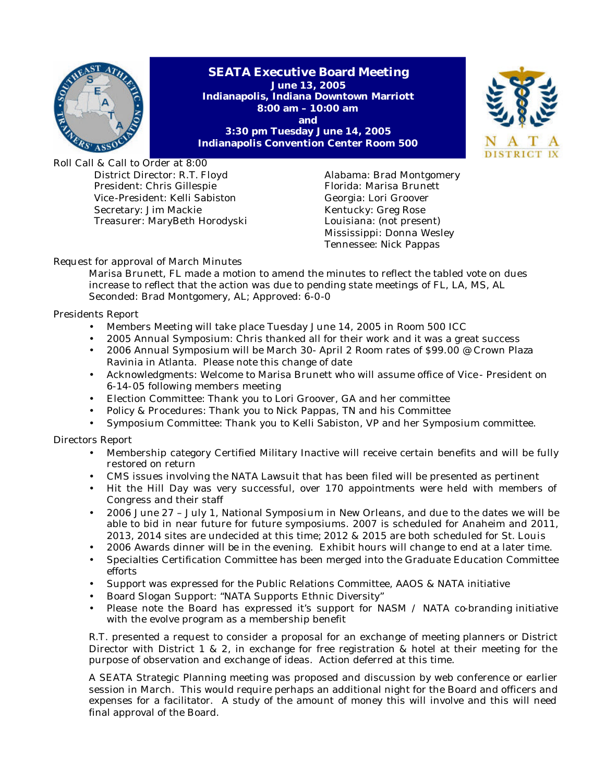

**SEATA Executive Board Meeting June 13, 2005 Indianapolis, Indiana Downtown Marriott 8:00 am – 10:00 am and 3:30 pm Tuesday June 14, 2005 Indianapolis Convention Center Room 500**



Roll Call & Call to Order at 8:00 District Director: R.T. Floyd President: Chris Gillespie Vice -President: Kelli Sabiston Secretary: Jim Mackie Treasurer: MaryBeth Horodyski

Alabama: Brad Montgomery Florida: Marisa Brunett Georgia: Lori Groover Kentucky: Greg Rose Louisiana: (not present) Mississippi: Donna Wesley Tennessee: Nick Pappas

# Request for approval of March Minutes

Marisa Brunett, FL made a motion to amend the minutes to reflect the tabled vote on dues increase to reflect that the action was due to pending state meetings of FL, LA, MS, AL Seconded: Brad Montgomery, AL; Approved: 6-0-0

Presidents Report

- Members Meeting will take place Tuesday June 14, 2005 in Room 500 ICC
- 2005 Annual Symposium: Chris thanked all for their work and it was a great success
- 2006 Annual Symposium will be March 30- April 2 Room rates of \$99.00 @ Crown Plaza Ravinia in Atlanta. Please note this change of date
- Acknowledgments: Welcome to Marisa Brunett who will assume office of Vice President on 6-14-05 following members meeting
- Election Committee: Thank you to Lori Groover, GA and her committee
- Policy & Procedures: Thank you to Nick Pappas, TN and his Committee
- Symposium Committee: Thank you to Kelli Sabiston, VP and her Symposium committee.

Directors Report

- Membership category Certified Military Inactive will receive certain benefits and will be fully restored on return
- CMS issues involving the NATA Lawsuit that has been filed will be presented as pertinent
- Hit the Hill Day was very successful, over 170 appointments were held with members of Congress and their staff
- 2006 June 27 July 1, National Symposium in New Orleans, and due to the dates we will be able to bid in near future for future symposiums. 2007 is scheduled for Anaheim and 2011, 2013, 2014 sites are undecided at this time; 2012 & 2015 are both scheduled for St. Louis
- 2006 Awards dinner will be in the evening. Exhibit hours will change to end at a later time.
- Specialties Certification Committee has been merged into the Graduate Education Committee efforts
- Support was expressed for the Public Relations Committee, AAOS & NATA initiative
- Board Slogan Support: "NATA Supports Ethnic Diversity"
- Please note the Board has expressed it's support for NASM / NATA co-branding initiative with the evolve program as a membership benefit

R.T. presented a request to consider a proposal for an exchange of meeting planners or District Director with District 1 & 2, in exchange for free registration & hotel at their meeting for the purpose of observation and exchange of ideas. Action deferred at this time.

A SEATA Strategic Planning meeting was proposed and discussion by web conference or earlier session in March. This would require perhaps an additional night for the Board and officers and expenses for a facilitator. A study of the amount of money this will involve and this will need final approval of the Board.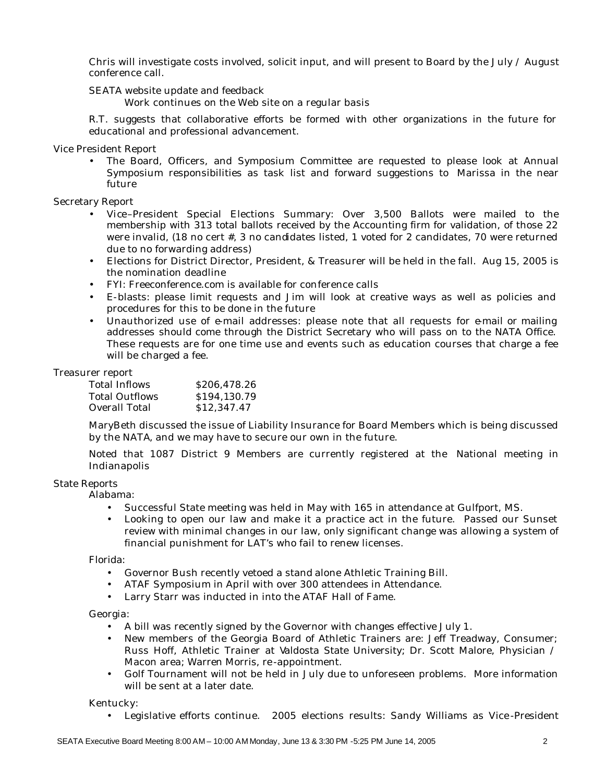Chris will investigate costs involved, solicit input, and will present to Board by the July  $\land$  August conference call.

SEATA website update and feedback

Work continues on the Web site on a regular basis

R.T. suggests that collaborative efforts be formed with other organizations in the future for educational and professional advancement.

Vice President Report

• The Board, Officers, and Symposium Committee are requested to please look at Annual Symposium responsibilities as task list and forward suggestions to Marissa in the near future

Secretary Report

- Vice–President Special Elections Summary: Over 3,500 Ballots were mailed to the membership with 313 total ballots received by the Accounting firm for validation, of those 22 were invalid, (18 no cert #, 3 no candidates listed, 1 voted for 2 candidates, 70 were returned due to no forwarding address)
- Elections for District Director, President, & Treasurer will be held in the fall. Aug 15, 2005 is the nomination deadline
- FYI: Freeconference.com is available for conference calls
- E-blasts: please limit requests and Jim will look at creative ways as well as policies and procedures for this to be done in the future
- Unauthorized use of e-mail addresses: please note that all requests for e-mail or mailing addresses should come through the District Secretary who will pass on to the NATA Office. These requests are for one time use and events such as education courses that charge a fee will be charged a fee.

## Treasurer report

| Total Inflows         | \$206.478.26 |
|-----------------------|--------------|
| <b>Total Outflows</b> | \$194,130.79 |
| Overall Total         | \$12,347.47  |

MaryBeth discussed the issue of Liability Insurance for Board Members which is being discussed by the NATA, and we may have to secure our own in the future.

Noted that 1087 District 9 Members are currently registered at the National meeting in Indianapolis

### State Reports

Alabama:

- Successful State meeting was held in May with 165 in attendance at Gulfport, MS.
- Looking to open our law and make it a practice act in the future. Passed our Sunset review with minimal changes in our law, only significant change was allowing a system of financial punishment for LAT's who fail to renew licenses.

Florida:

- Governor Bush recently vetoed a stand alone Athletic Training Bill.
- ATAF Symposium in April with over 300 attendees in Attendance.
- Larry Starr was inducted in into the ATAF Hall of Fame.

Georgia:

- A bill was recently signed by the Governor with changes effective July 1.
- New members of the Georgia Board of Athletic Trainers are: Jeff Treadway, Consumer; Russ Hoff, Athletic Trainer at Valdosta State University; Dr. Scott Malore, Physician / Macon area; Warren Morris, re -appointment.
- Golf Tournament will not be held in July due to unforeseen problems. More information will be sent at a later date.

Kentucky:

• Legislative efforts continue. 2005 elections results: Sandy Williams as Vice -President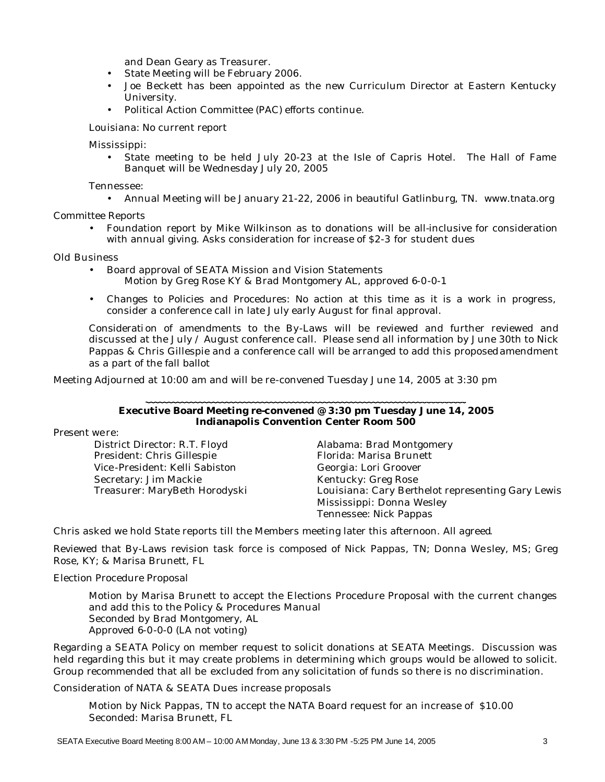and Dean Geary as Treasurer.

- State Meeting will be February 2006.
- Joe Beckett has been appointed as the new Curriculum Director at Eastern Kentucky University.
- Political Action Committee (PAC) efforts continue.

Louisiana: No current report

Mississippi:

• State meeting to be held July 20-23 at the Isle of Capris Hotel. The Hall of Fame Banquet will be Wednesday July 20, 2005

Tennessee:

• Annual Meeting will be January 21-22, 2006 in beautiful Gatlinburg, TN. www.tnata.org

Committee Reports

• Foundation report by Mike Wilkinson as to donations will be all-inclusive for consideration with annual giving. Asks consideration for increase of \$2-3 for student dues

### Old Business

- Board approval of SEATA Mission and Vision Statements
	- Motion by Greg Rose KY & Brad Montgomery AL, approved 6-0-0-1
- Changes to Policies and Procedures: No action at this time as it is a work in progress, consider a conference call in late July early August for final approval.

Considerati on of amendments to the By-Laws will be reviewed and further reviewed and discussed at the July / August conference call. Please send all information by June 30th to Nick Pappas & Chris Gillespie and a conference call will be arranged to add this proposed amendment as a part of the fall ballot

Meeting Adjourned at 10:00 am and will be re-convened Tuesday June 14, 2005 at 3:30 pm

## **Executive Board Meeting re-convened @ 3:30 pm Tuesday June 14, 2005 Indianapolis Convention Center Room 500**

Present we re:

District Director: R.T. Floyd President: Chris Gillespie Vice -President: Kelli Sabiston Secretary: Jim Mackie Treasurer: MaryBeth Horodyski

Alabama: Brad Montgomery Florida: Marisa Brunett Georgia: Lori Groover Kentucky: Greg Rose Louisiana: Cary Berthelot representing Gary Lewis Mississippi: Donna Wesley Tennessee: Nick Pappas

Chris asked we hold State reports till the Members meeting later this afternoon. All agreed.

Reviewed that By-Laws revision task force is composed of Nick Pappas, TN; Donna We sley, MS; Greg Rose, KY; & Marisa Brunett, FL

Election Procedure Proposal

Motion by Marisa Brunett to accept the Elections Procedure Proposal with the current changes and add this to the Policy & Procedures Manual Seconded by Brad Montgomery, AL Approved 6-0-0-0 (LA not voting)

Regarding a SEATA Policy on member request to solicit donations at SEATA Meetings. Discussion was held regarding this but it may create problems in determining which groups would be allowed to solicit. Group recommended that all be excluded from any solicitation of funds so there is no discrimination.

Consideration of NATA & SEATA Dues increase proposals

Motion by Nick Pappas, TN to accept the NATA Board request for an increase of \$10.00 Seconded: Marisa Brunett, FL